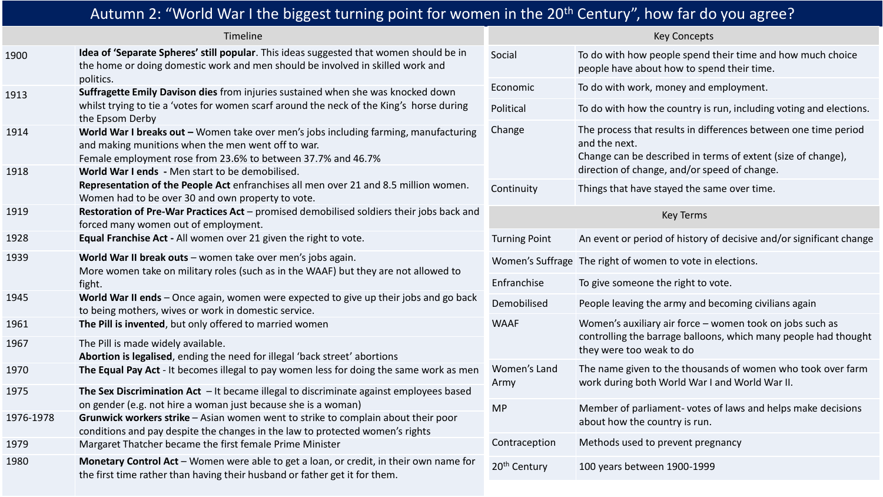| Autumn 2: "World War I the biggest turning point for women in the 20 <sup>th</sup> Century", how far do you agree? |                                                                                                                                                                                                                                                               |                          |                                                                                                                                                                                                  |  |  |
|--------------------------------------------------------------------------------------------------------------------|---------------------------------------------------------------------------------------------------------------------------------------------------------------------------------------------------------------------------------------------------------------|--------------------------|--------------------------------------------------------------------------------------------------------------------------------------------------------------------------------------------------|--|--|
|                                                                                                                    | Timeline                                                                                                                                                                                                                                                      |                          | <b>Key Concepts</b>                                                                                                                                                                              |  |  |
| 1900                                                                                                               | Idea of 'Separate Spheres' still popular. This ideas suggested that women should be in<br>the home or doing domestic work and men should be involved in skilled work and                                                                                      | Social                   | To do with how people spend their time and how much choice<br>people have about how to spend their time.                                                                                         |  |  |
| 1913                                                                                                               | politics.<br>Suffragette Emily Davison dies from injuries sustained when she was knocked down                                                                                                                                                                 | Economic                 | To do with work, money and employment.                                                                                                                                                           |  |  |
|                                                                                                                    | whilst trying to tie a 'votes for women scarf around the neck of the King's horse during<br>the Epsom Derby                                                                                                                                                   | Political                | To do with how the country is run, including voting and elections.                                                                                                                               |  |  |
| 1914<br>1918                                                                                                       | World War I breaks out - Women take over men's jobs including farming, manufacturing<br>and making munitions when the men went off to war.<br>Female employment rose from 23.6% to between 37.7% and 46.7%<br>World War I ends - Men start to be demobilised. | Change                   | The process that results in differences between one time period<br>and the next.<br>Change can be described in terms of extent (size of change),<br>direction of change, and/or speed of change. |  |  |
|                                                                                                                    | Representation of the People Act enfranchises all men over 21 and 8.5 million women.<br>Women had to be over 30 and own property to vote.                                                                                                                     | Continuity               | Things that have stayed the same over time.                                                                                                                                                      |  |  |
| 1919                                                                                                               | Restoration of Pre-War Practices Act - promised demobilised soldiers their jobs back and<br>forced many women out of employment.                                                                                                                              | <b>Key Terms</b>         |                                                                                                                                                                                                  |  |  |
| 1928                                                                                                               | Equal Franchise Act - All women over 21 given the right to vote.                                                                                                                                                                                              | <b>Turning Point</b>     | An event or period of history of decisive and/or significant change                                                                                                                              |  |  |
| 1939                                                                                                               | World War II break outs - women take over men's jobs again.<br>More women take on military roles (such as in the WAAF) but they are not allowed to<br>fight.                                                                                                  |                          | Women's Suffrage The right of women to vote in elections.                                                                                                                                        |  |  |
|                                                                                                                    |                                                                                                                                                                                                                                                               | Enfranchise              | To give someone the right to vote.                                                                                                                                                               |  |  |
| 1945                                                                                                               | World War II ends - Once again, women were expected to give up their jobs and go back<br>to being mothers, wives or work in domestic service.                                                                                                                 | Demobilised              | People leaving the army and becoming civilians again                                                                                                                                             |  |  |
| 1961                                                                                                               | The Pill is invented, but only offered to married women                                                                                                                                                                                                       | <b>WAAF</b>              | Women's auxiliary air force - women took on jobs such as                                                                                                                                         |  |  |
| 1967                                                                                                               | The Pill is made widely available.<br>Abortion is legalised, ending the need for illegal 'back street' abortions                                                                                                                                              |                          | controlling the barrage balloons, which many people had thought<br>they were too weak to do                                                                                                      |  |  |
| 1970                                                                                                               | The Equal Pay Act - It becomes illegal to pay women less for doing the same work as men                                                                                                                                                                       | Women's Land<br>Army     | The name given to the thousands of women who took over farm<br>work during both World War I and World War II.                                                                                    |  |  |
| 1975                                                                                                               | The Sex Discrimination Act $-$ It became illegal to discriminate against employees based                                                                                                                                                                      |                          |                                                                                                                                                                                                  |  |  |
| 1976-1978                                                                                                          | on gender (e.g. not hire a woman just because she is a woman)<br>Grunwick workers strike - Asian women went to strike to complain about their poor<br>conditions and pay despite the changes in the law to protected women's rights                           | <b>MP</b>                | Member of parliament-votes of laws and helps make decisions<br>about how the country is run.                                                                                                     |  |  |
| 1979                                                                                                               | Margaret Thatcher became the first female Prime Minister                                                                                                                                                                                                      | Contraception            | Methods used to prevent pregnancy                                                                                                                                                                |  |  |
| 1980                                                                                                               | Monetary Control Act – Women were able to get a loan, or credit, in their own name for<br>the first time rather than having their husband or father get it for them.                                                                                          | 20 <sup>th</sup> Century | 100 years between 1900-1999                                                                                                                                                                      |  |  |
|                                                                                                                    |                                                                                                                                                                                                                                                               |                          |                                                                                                                                                                                                  |  |  |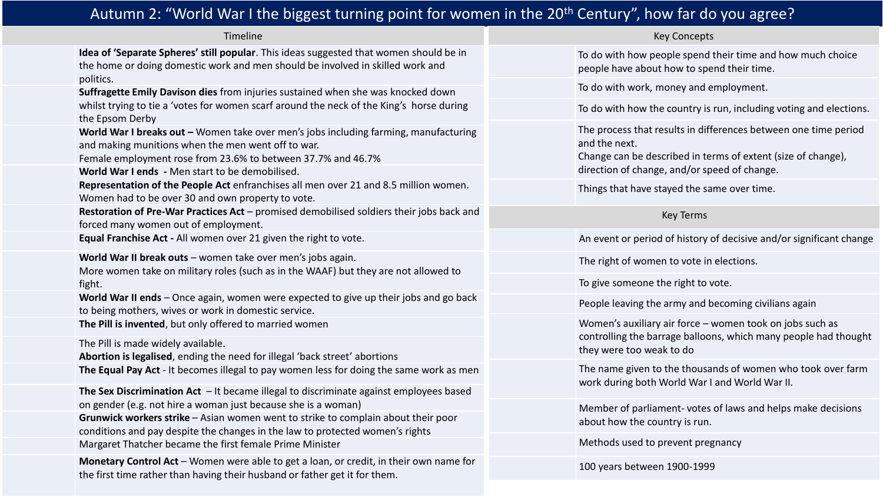## Autumn 2: "World War I the biggest turning point for women in the 20<sup>th</sup> Century", how far do you agree?

Timeline

**Idea of 'Separate Spheres' still popular**. This ideas suggested that women should be in the home or doing domestic work and men should be involved in skilled work and politics.

**Suffragette Emily Davison dies** from injuries sustained when she was knocked down whilst trying to tie a 'votes for women scarf around the neck of the King's horse during the Epsom Derby

World War I breaks out – Women take over men's jobs including farming, manufacturing and making munitions when the men went off to war.

Female employment rose from 23.6% to between 37.7% and 46.7%

**World War I ends -** Men start to be demobilised.

**Representation of the People Act** enfranchises all men over 21 and 8.5 million women. Women had to be over 30 and own property to vote.

**Restoration of Pre-War Practices Act** – promised demobilised soldiers their jobs back and forced many women out of employment.

**Equal Franchise Act -** All women over 21 given the right to vote.

**World War II break outs** – women take over men's jobs again.

More women take on military roles (such as in the WAAF) but they are not allowed to fight.

World War II ends – Once again, women were expected to give up their jobs and go back to being mothers, wives or work in domestic service.

**The Pill is invented**, but only offered to married women

The Pill is made widely available.

**Abortion is legalised**, ending the need for illegal 'back street' abortions **The Equal Pay Act** - It becomes illegal to pay women less for doing the same work as men

**The Sex Discrimination Act** – It became illegal to discriminate against employees based on gender (e.g. not hire a woman just because she is a woman)

**Grunwick workers strike** – Asian women went to strike to complain about their poor conditions and pay despite the changes in the law to protected women's rights Margaret Thatcher became the first female Prime Minister

**Monetary Control Act** – Women were able to get a loan, or credit, in their own name for the first time rather than having their husband or father get it for them.

Key Concepts

To do with how people spend their time and how much choice people have about how to spend their time.

To do with work, money and employment.

To do with how the country is run, including voting and elections.

The process that results in differences between one time period and the next.

Change can be described in terms of extent (size of change), direction of change, and/or speed of change.

Things that have stayed the same over time.

## Key Terms

An event or period of history of decisive and/or significant change

The right of women to vote in elections.

To give someone the right to vote.

People leaving the army and becoming civilians again

Women's auxiliary air force – women took on jobs such as controlling the barrage balloons, which many people had thought they were too weak to do

The name given to the thousands of women who took over farm work during both World War I and World War II.

Member of parliament- votes of laws and helps make decisions about how the country is run.

Methods used to prevent pregnancy

100 years between 1900-1999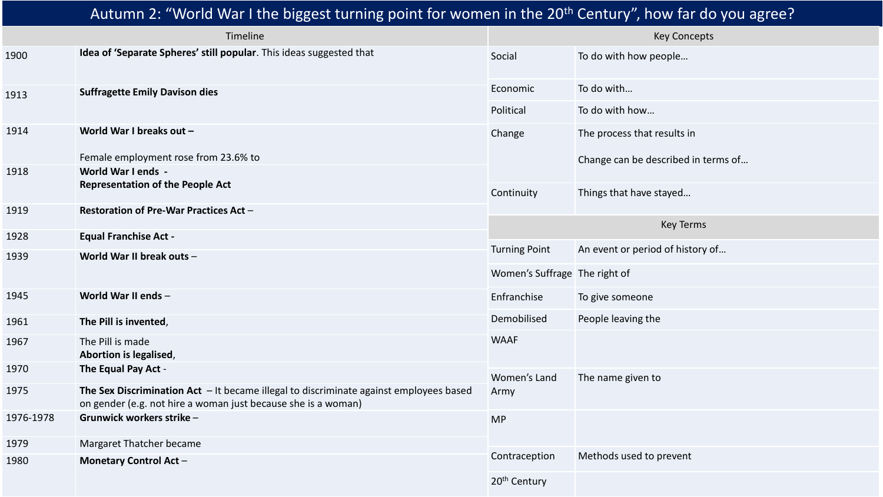## Autumn 2: "World War I the biggest turning point for women in the 20<sup>th</sup> Century", how far do you agree?

| Timeline  |                                                                                                                                                           | <b>Key Concepts</b>           |                                     |
|-----------|-----------------------------------------------------------------------------------------------------------------------------------------------------------|-------------------------------|-------------------------------------|
| 1900      | Idea of 'Separate Spheres' still popular. This ideas suggested that                                                                                       | Social                        | To do with how people               |
| 1913      | <b>Suffragette Emily Davison dies</b>                                                                                                                     | Economic                      | To do with                          |
|           |                                                                                                                                                           | Political                     | To do with how                      |
| 1914      | World War I breaks out -                                                                                                                                  | Change                        | The process that results in         |
|           | Female employment rose from 23.6% to                                                                                                                      |                               | Change can be described in terms of |
| 1918      | World War I ends -                                                                                                                                        |                               |                                     |
|           | <b>Representation of the People Act</b>                                                                                                                   | Continuity                    | Things that have stayed             |
| 1919      | Restoration of Pre-War Practices Act -                                                                                                                    |                               |                                     |
| 1928      | <b>Equal Franchise Act -</b>                                                                                                                              | <b>Key Terms</b>              |                                     |
| 1939      | World War II break outs -                                                                                                                                 | <b>Turning Point</b>          | An event or period of history of    |
|           |                                                                                                                                                           | Women's Suffrage The right of |                                     |
| 1945      | World War II ends -                                                                                                                                       | Enfranchise                   | To give someone                     |
| 1961      | The Pill is invented,                                                                                                                                     | Demobilised                   | People leaving the                  |
| 1967      | The Pill is made<br>Abortion is legalised,                                                                                                                | <b>WAAF</b>                   |                                     |
| 1970      | The Equal Pay Act -                                                                                                                                       | Women's Land                  | The name given to                   |
| 1975      | The Sex Discrimination Act $-$ It became illegal to discriminate against employees based<br>on gender (e.g. not hire a woman just because she is a woman) | Army                          |                                     |
| 1976-1978 | Grunwick workers strike -                                                                                                                                 | <b>MP</b>                     |                                     |
| 1979      | Margaret Thatcher became                                                                                                                                  |                               |                                     |
| 1980      | <b>Monetary Control Act -</b>                                                                                                                             | Contraception                 | Methods used to prevent             |
|           |                                                                                                                                                           | 20 <sup>th</sup> Century      |                                     |